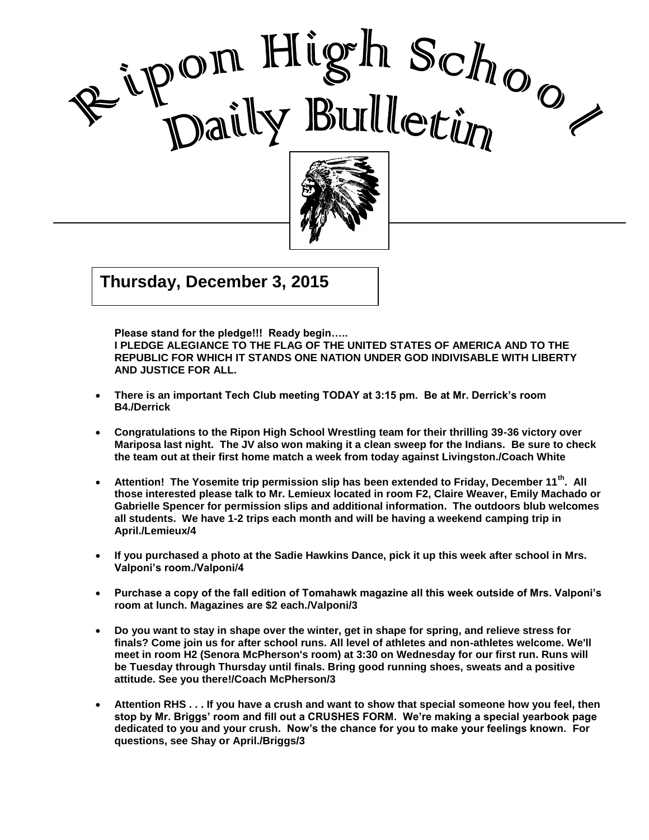



**Thursday, December 3, 2015**  $\frac{1}{2}$   $\frac{1}{2}$   $\frac{1}{2}$   $\frac{1}{2}$   $\frac{1}{2}$   $\frac{1}{2}$   $\frac{1}{2}$   $\frac{1}{2}$   $\frac{1}{2}$   $\frac{1}{2}$   $\frac{1}{2}$   $\frac{1}{2}$   $\frac{1}{2}$   $\frac{1}{2}$   $\frac{1}{2}$   $\frac{1}{2}$   $\frac{1}{2}$   $\frac{1}{2}$   $\frac{1}{2}$   $\frac{1}{2}$   $\frac{1}{2}$   $\frac{1}{2}$ 

**Please stand for the pledge!!! Ready begin…..** 

**I PLEDGE ALEGIANCE TO THE FLAG OF THE UNITED STATES OF AMERICA AND TO THE REPUBLIC FOR WHICH IT STANDS ONE NATION UNDER GOD INDIVISABLE WITH LIBERTY AND JUSTICE FOR ALL.**

I

- **There is an important Tech Club meeting TODAY at 3:15 pm. Be at Mr. Derrick's room B4./Derrick**
- **Congratulations to the Ripon High School Wrestling team for their thrilling 39-36 victory over Mariposa last night. The JV also won making it a clean sweep for the Indians. Be sure to check the team out at their first home match a week from today against Livingston./Coach White**
- **Attention! The Yosemite trip permission slip has been extended to Friday, December 11th. All those interested please talk to Mr. Lemieux located in room F2, Claire Weaver, Emily Machado or Gabrielle Spencer for permission slips and additional information. The outdoors blub welcomes all students. We have 1-2 trips each month and will be having a weekend camping trip in April./Lemieux/4**
- **If you purchased a photo at the Sadie Hawkins Dance, pick it up this week after school in Mrs. Valponi's room./Valponi/4**
- **Purchase a copy of the fall edition of Tomahawk magazine all this week outside of Mrs. Valponi's room at lunch. Magazines are \$2 each./Valponi/3**
- **Do you want to stay in shape over the winter, get in shape for spring, and relieve stress for finals? Come join us for after school runs. All level of athletes and non-athletes welcome. We'll meet in room H2 (Senora McPherson's room) at 3:30 on Wednesday for our first run. Runs will be Tuesday through Thursday until finals. Bring good running shoes, sweats and a positive attitude. See you there!/Coach McPherson/3**
- **Attention RHS . . . If you have a crush and want to show that special someone how you feel, then stop by Mr. Briggs' room and fill out a CRUSHES FORM. We're making a special yearbook page dedicated to you and your crush. Now's the chance for you to make your feelings known. For questions, see Shay or April./Briggs/3**